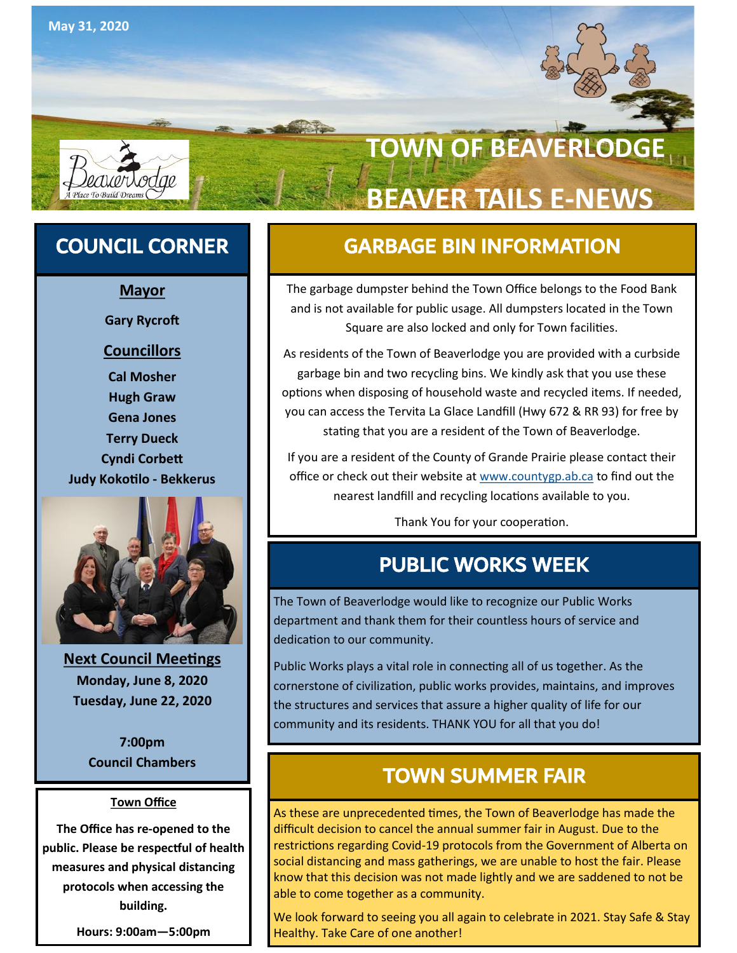

# **TOWN OF BEAVERLODG BEAVER TAILS E-NEWS**

**Mayor**

**Gary Rycroft**

### **Councillors**

**Cal Mosher Hugh Graw Gena Jones Terry Dueck Cyndi Corbett Judy Kokotilo - Bekkerus**



**Next Council Meetings Monday, June 8, 2020 Tuesday, June 22, 2020**

**7:00pm Council Chambers**

#### **Town Office**

**The Office has re-opened to the public. Please be respectful of health measures and physical distancing protocols when accessing the building.** 

**Hours: 9:00am—5:00pm** 

## COUNCIL CORNER GARBAGE BIN INFORMATION

The garbage dumpster behind the Town Office belongs to the Food Bank and is not available for public usage. All dumpsters located in the Town Square are also locked and only for Town facilities.

As residents of the Town of Beaverlodge you are provided with a curbside garbage bin and two recycling bins. We kindly ask that you use these options when disposing of household waste and recycled items. If needed, you can access the Tervita La Glace Landfill (Hwy 672 & RR 93) for free by stating that you are a resident of the Town of Beaverlodge.

If you are a resident of the County of Grande Prairie please contact their office or check out their website at [www.countygp.ab.ca](http://www.countygp.ab.ca) to find out the nearest landfill and recycling locations available to you.

Thank You for your cooperation.

## PUBLIC WORKS WEEK

The Town of Beaverlodge would like to recognize our Public Works department and thank them for their countless hours of service and dedication to our community.

Public Works plays a vital role in connecting all of us together. As the cornerstone of civilization, public works provides, maintains, and improves the structures and services that assure a higher quality of life for our community and its residents. THANK YOU for all that you do!

## TOWN SUMMER FAIR

As these are unprecedented times, the Town of Beaverlodge has made the difficult decision to cancel the annual summer fair in August. Due to the restrictions regarding Covid-19 protocols from the Government of Alberta on social distancing and mass gatherings, we are unable to host the fair. Please know that this decision was not made lightly and we are saddened to not be able to come together as a community.

We look forward to seeing you all again to celebrate in 2021. Stay Safe & Stay Healthy. Take Care of one another!